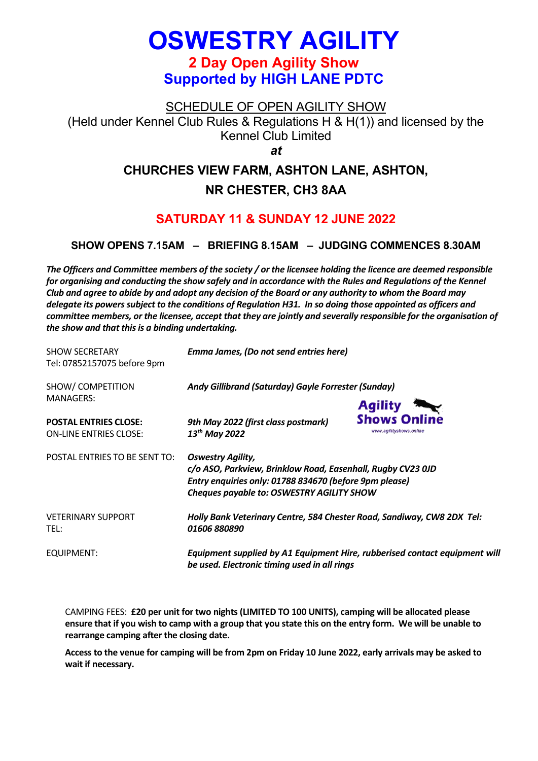# **OSWESTRY AGILITY 2 Day Open Agility Show Supported by HIGH LANE PDTC**

SCHEDULE OF OPEN AGILITY SHOW

(Held under Kennel Club Rules & Regulations H & H(1)) and licensed by the Kennel Club Limited

*at*

# **CHURCHES VIEW FARM, ASHTON LANE, ASHTON,**

# **NR CHESTER, CH3 8AA**

# **SATURDAY 11 & SUNDAY 12 JUNE 2022**

## **SHOW OPENS 7.15AM – BRIEFING 8.15AM – JUDGING COMMENCES 8.30AM**

*The Officers and Committee members of the society / or the licensee holding the licence are deemed responsible for organising and conducting the show safely and in accordance with the Rules and Regulations of the Kennel Club and agree to abide by and adopt any decision of the Board or any authority to whom the Board may delegate its powers subject to the conditions of Regulation H31. In so doing those appointed as officers and committee members, or the licensee, accept that they are jointly and severally responsible for the organisation of the show and that this is a binding undertaking.*

| <b>SHOW SECRETARY</b><br>Tel: 07852157075 before 9pm          | Emma James, (Do not send entries here)                                                                                                                                                                |                                                                            |
|---------------------------------------------------------------|-------------------------------------------------------------------------------------------------------------------------------------------------------------------------------------------------------|----------------------------------------------------------------------------|
| SHOW/ COMPETITION                                             | Andy Gillibrand (Saturday) Gayle Forrester (Sunday)                                                                                                                                                   |                                                                            |
| <b>MANAGERS:</b>                                              |                                                                                                                                                                                                       | <b>Agility</b>                                                             |
| <b>POSTAL ENTRIES CLOSE:</b><br><b>ON-LINE ENTRIES CLOSE:</b> | 9th May 2022 (first class postmark)<br>13 <sup>th</sup> May 2022                                                                                                                                      | <b>Shows Online</b><br>www.agilityshows.online                             |
| POSTAL ENTRIES TO BE SENT TO:                                 | <b>Oswestry Agility,</b><br>c/o ASO, Parkview, Brinklow Road, Easenhall, Rugby CV23 0JD<br>Entry enquiries only: 01788 834670 (before 9pm please)<br><b>Cheques payable to: OSWESTRY AGILITY SHOW</b> |                                                                            |
| <b>VETERINARY SUPPORT</b><br>TEL:                             | Holly Bank Veterinary Centre, 584 Chester Road, Sandiway, CW8 2DX Tel:<br>01606 880890                                                                                                                |                                                                            |
| EQUIPMENT:                                                    | be used. Electronic timing used in all rings                                                                                                                                                          | Equipment supplied by A1 Equipment Hire, rubberised contact equipment will |

CAMPING FEES: **£20 per unit for two nights (LIMITED TO 100 UNITS), camping will be allocated please ensure that if you wish to camp with a group that you state this on the entry form. We will be unable to rearrange camping after the closing date.**

**Access to the venue for camping will be from 2pm on Friday 10 June 2022, early arrivals may be asked to wait if necessary.**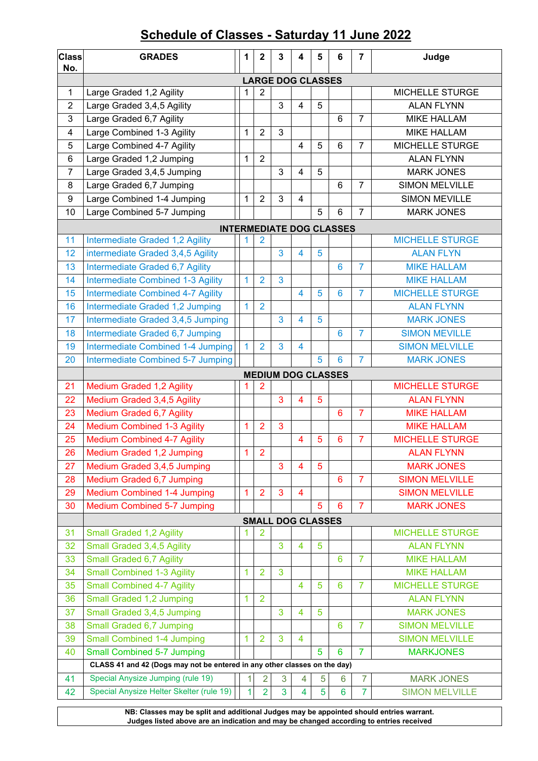# **Schedule of Classes - Saturday 11 June 2022**

| <b>Class</b><br>No.     | <b>GRADES</b>                                                             | 1               | $\mathbf{2}$   | 3                        | 4              | 5 | 6                               | $\overline{7}$ | Judge                                       |  |  |  |  |
|-------------------------|---------------------------------------------------------------------------|-----------------|----------------|--------------------------|----------------|---|---------------------------------|----------------|---------------------------------------------|--|--|--|--|
|                         | <b>LARGE DOG CLASSES</b>                                                  |                 |                |                          |                |   |                                 |                |                                             |  |  |  |  |
| 1                       | Large Graded 1,2 Agility                                                  | MICHELLE STURGE |                |                          |                |   |                                 |                |                                             |  |  |  |  |
| $\overline{2}$          | Large Graded 3,4,5 Agility                                                |                 |                | 3                        | 4              | 5 |                                 |                | <b>ALAN FLYNN</b>                           |  |  |  |  |
| 3                       | Large Graded 6,7 Agility                                                  |                 |                |                          |                |   | 6                               | $\overline{7}$ | <b>MIKE HALLAM</b>                          |  |  |  |  |
| $\overline{\mathbf{4}}$ | Large Combined 1-3 Agility                                                | 1               | $\overline{2}$ | 3                        |                |   |                                 |                | <b>MIKE HALLAM</b>                          |  |  |  |  |
| 5                       | Large Combined 4-7 Agility                                                |                 |                |                          | 4              | 5 | 6                               | $\overline{7}$ | MICHELLE STURGE                             |  |  |  |  |
| 6                       | Large Graded 1,2 Jumping                                                  | 1               | $\overline{2}$ |                          |                |   |                                 |                | <b>ALAN FLYNN</b>                           |  |  |  |  |
| 7                       | Large Graded 3,4,5 Jumping                                                |                 |                | 3                        | 4              | 5 |                                 |                | <b>MARK JONES</b>                           |  |  |  |  |
| 8                       | Large Graded 6,7 Jumping                                                  |                 |                |                          |                |   | 6                               | $\overline{7}$ | <b>SIMON MELVILLE</b>                       |  |  |  |  |
| 9                       | Large Combined 1-4 Jumping                                                | 1               | $\overline{2}$ | 3                        | $\overline{4}$ |   |                                 |                | <b>SIMON MEVILLE</b>                        |  |  |  |  |
| 10                      | Large Combined 5-7 Jumping                                                |                 |                |                          |                | 5 | 6                               | $\overline{7}$ | <b>MARK JONES</b>                           |  |  |  |  |
|                         |                                                                           |                 |                |                          |                |   | <b>INTERMEDIATE DOG CLASSES</b> |                |                                             |  |  |  |  |
| 11                      | Intermediate Graded 1,2 Agility                                           |                 | 2              |                          |                |   |                                 |                | <b>MICHELLE STURGE</b>                      |  |  |  |  |
| 12                      | intermediate Graded 3,4,5 Agility                                         |                 |                | 3                        | 4              | 5 |                                 |                | <b>ALAN FLYN</b>                            |  |  |  |  |
| 13                      | Intermediate Graded 6,7 Agility                                           |                 |                |                          |                |   | 6                               | $\overline{7}$ | <b>MIKE HALLAM</b>                          |  |  |  |  |
| 14                      | <b>Intermediate Combined 1-3 Agility</b>                                  | 1               | $\overline{2}$ | 3                        |                |   |                                 |                | <b>MIKE HALLAM</b>                          |  |  |  |  |
| 15                      | <b>Intermediate Combined 4-7 Agility</b>                                  |                 |                |                          | 4              | 5 | 6                               | $\overline{7}$ | <b>MICHELLE STURGE</b>                      |  |  |  |  |
| 16                      | Intermediate Graded 1,2 Jumping                                           | 1               | $\overline{2}$ |                          |                |   |                                 |                | <b>ALAN FLYNN</b>                           |  |  |  |  |
| 17                      | Intermediate Graded 3,4,5 Jumping                                         |                 |                | 3                        | 4              | 5 |                                 |                | <b>MARK JONES</b>                           |  |  |  |  |
| 18                      | Intermediate Graded 6,7 Jumping                                           |                 |                |                          |                |   | $6\phantom{1}6$                 | $\overline{7}$ | <b>SIMON MEVILLE</b>                        |  |  |  |  |
| 19                      | Intermediate Combined 1-4 Jumping                                         | $\mathbf{1}$    | $\overline{2}$ | 3                        | 4              |   |                                 |                | <b>SIMON MELVILLE</b>                       |  |  |  |  |
| 20                      | Intermediate Combined 5-7 Jumping                                         |                 |                |                          |                | 5 | 6                               | $\overline{7}$ | <b>MARK JONES</b>                           |  |  |  |  |
|                         |                                                                           |                 |                |                          |                |   | <b>MEDIUM DOG CLASSES</b>       |                |                                             |  |  |  |  |
| 21                      | <b>Medium Graded 1,2 Agility</b>                                          |                 | $\overline{2}$ | 3                        | 4              | 5 |                                 |                | <b>MICHELLE STURGE</b><br><b>ALAN FLYNN</b> |  |  |  |  |
| 22<br>23                | Medium Graded 3,4,5 Agility<br>Medium Graded 6,7 Agility                  |                 |                |                          |                |   | 6                               | $\overline{7}$ | <b>MIKE HALLAM</b>                          |  |  |  |  |
| 24                      | <b>Medium Combined 1-3 Agility</b>                                        | 1               | $\overline{2}$ | 3                        |                |   |                                 |                | <b>MIKE HALLAM</b>                          |  |  |  |  |
| 25                      | <b>Medium Combined 4-7 Agility</b>                                        |                 |                |                          | 4              | 5 | $6\phantom{1}6$                 | $\overline{7}$ | <b>MICHELLE STURGE</b>                      |  |  |  |  |
| 26                      | Medium Graded 1,2 Jumping                                                 | $\overline{A}$  | $\overline{2}$ |                          |                |   |                                 |                | <b>ALAN FLYNN</b>                           |  |  |  |  |
| 27                      | Medium Graded 3,4,5 Jumping                                               |                 |                | 3                        | 4              | 5 |                                 |                | <b>MARK JONES</b>                           |  |  |  |  |
| 28                      | Medium Graded 6,7 Jumping                                                 |                 |                |                          |                |   | $6\phantom{1}6$                 | $\overline{7}$ | <b>SIMON MELVILLE</b>                       |  |  |  |  |
| 29                      | <b>Medium Combined 1-4 Jumping</b>                                        | 1               | $\overline{2}$ | 3                        | 4              |   |                                 |                | <b>SIMON MELVILLE</b>                       |  |  |  |  |
| 30                      | Medium Combined 5-7 Jumping                                               |                 |                |                          |                | 5 | 6                               | $\overline{7}$ | <b>MARK JONES</b>                           |  |  |  |  |
|                         |                                                                           |                 |                | <b>SMALL DOG CLASSES</b> |                |   |                                 |                |                                             |  |  |  |  |
| 31                      | <b>Small Graded 1,2 Agility</b>                                           |                 | 2              |                          |                |   |                                 |                | <b>MICHELLE STURGE</b>                      |  |  |  |  |
| 32                      | Small Graded 3,4,5 Agility                                                |                 |                | 3                        | 4              | 5 |                                 |                | <b>ALAN FLYNN</b>                           |  |  |  |  |
| 33                      | <b>Small Graded 6,7 Agility</b>                                           |                 |                |                          |                |   | 6                               | 7              | <b>MIKE HALLAM</b>                          |  |  |  |  |
| 34                      | <b>Small Combined 1-3 Agility</b>                                         | 1               | $\overline{2}$ | 3                        |                |   |                                 |                | <b>MIKE HALLAM</b>                          |  |  |  |  |
| 35                      | <b>Small Combined 4-7 Agility</b>                                         |                 |                |                          | 4              | 5 | 6                               | 7              | <b>MICHELLE STURGE</b>                      |  |  |  |  |
| 36                      | Small Graded 1,2 Jumping                                                  | 1               | $\overline{2}$ |                          |                |   |                                 |                | <b>ALAN FLYNN</b>                           |  |  |  |  |
| 37                      | Small Graded 3,4,5 Jumping                                                |                 |                | 3                        | 4              | 5 |                                 |                | <b>MARK JONES</b>                           |  |  |  |  |
| 38                      | Small Graded 6,7 Jumping                                                  |                 |                |                          |                |   | 6                               | 7              | <b>SIMON MELVILLE</b>                       |  |  |  |  |
| 39                      | <b>Small Combined 1-4 Jumping</b>                                         | 1               | $\overline{2}$ | 3                        | 4              |   |                                 |                | <b>SIMON MELVILLE</b>                       |  |  |  |  |
| 40                      | <b>Small Combined 5-7 Jumping</b>                                         |                 |                |                          |                | 5 | 6                               | $\overline{7}$ | <b>MARKJONES</b>                            |  |  |  |  |
|                         | CLASS 41 and 42 (Dogs may not be entered in any other classes on the day) |                 |                |                          |                |   |                                 |                |                                             |  |  |  |  |
| 41                      | Special Anysize Jumping (rule 19)                                         | $\mathbf{1}$    | $\overline{2}$ | 3                        | 4              | 5 | 6                               | $\overline{7}$ | <b>MARK JONES</b>                           |  |  |  |  |
| 42                      | Special Anysize Helter Skelter (rule 19)                                  | $\mathbf{1}$    | $\overline{2}$ | 3                        | 4              | 5 | $6\phantom{1}$                  | $\overline{7}$ | <b>SIMON MELVILLE</b>                       |  |  |  |  |
|                         |                                                                           |                 |                |                          |                |   |                                 |                |                                             |  |  |  |  |

**NB: Classes may be split and additional Judges may be appointed should entries warrant. Judges listed above are an indication and may be changed according to entries received**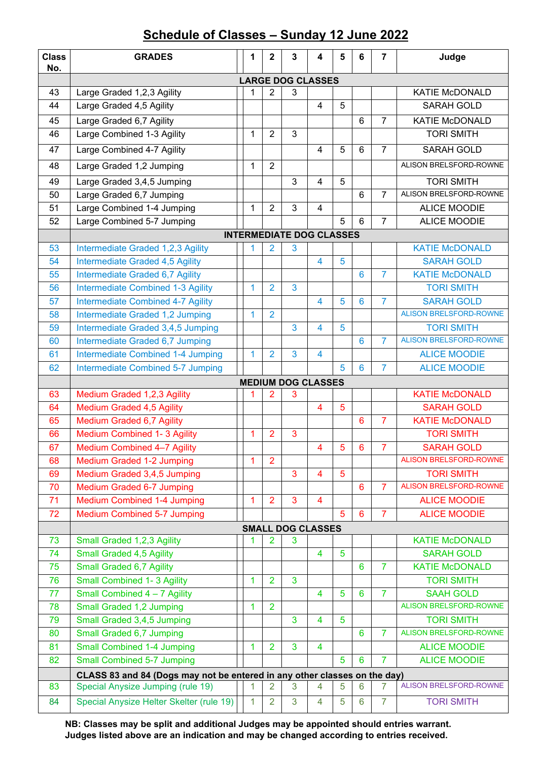# **Schedule of Classes – Sunday 12 June 2022**

| <b>Class</b><br>No. | <b>GRADES</b>                                                                                                  | 1            | 2              | 3                               | 4                       | 5 | 6               | $\overline{7}$ | Judge                                      |  |  |  |  |
|---------------------|----------------------------------------------------------------------------------------------------------------|--------------|----------------|---------------------------------|-------------------------|---|-----------------|----------------|--------------------------------------------|--|--|--|--|
|                     | <b>LARGE DOG CLASSES</b>                                                                                       |              |                |                                 |                         |   |                 |                |                                            |  |  |  |  |
| 43                  | Large Graded 1,2,3 Agility                                                                                     | 1            | $\overline{2}$ | 3                               |                         |   |                 |                | <b>KATIE McDONALD</b>                      |  |  |  |  |
| 44                  | Large Graded 4,5 Agility                                                                                       |              |                |                                 | $\overline{4}$          | 5 |                 |                | SARAH GOLD                                 |  |  |  |  |
| 45                  | Large Graded 6,7 Agility                                                                                       |              |                |                                 |                         |   | $6\phantom{1}$  | $\overline{7}$ | <b>KATIE McDONALD</b>                      |  |  |  |  |
| 46                  | Large Combined 1-3 Agility                                                                                     | $\mathbf{1}$ | $\overline{2}$ | 3                               |                         |   |                 |                | <b>TORI SMITH</b>                          |  |  |  |  |
| 47                  | Large Combined 4-7 Agility                                                                                     |              |                |                                 | $\overline{4}$          | 5 | $6\phantom{1}$  | $\overline{7}$ | <b>SARAH GOLD</b>                          |  |  |  |  |
| 48                  | Large Graded 1,2 Jumping                                                                                       | $\mathbf{1}$ | $\overline{2}$ |                                 |                         |   |                 |                | ALISON BRELSFORD-ROWNE                     |  |  |  |  |
| 49                  | Large Graded 3,4,5 Jumping                                                                                     |              |                | 3                               | 4                       | 5 |                 |                | <b>TORI SMITH</b>                          |  |  |  |  |
| 50                  | Large Graded 6,7 Jumping                                                                                       |              |                |                                 |                         |   | 6               | $\overline{7}$ | ALISON BRELSFORD-ROWNE                     |  |  |  |  |
| 51                  | Large Combined 1-4 Jumping                                                                                     | $\mathbf{1}$ | $\overline{2}$ | $\mathfrak{S}$                  | $\overline{4}$          |   |                 |                | <b>ALICE MOODIE</b>                        |  |  |  |  |
| 52                  | Large Combined 5-7 Jumping                                                                                     |              |                |                                 |                         | 5 | 6               | 7              | <b>ALICE MOODIE</b>                        |  |  |  |  |
|                     |                                                                                                                |              |                | <b>INTERMEDIATE DOG CLASSES</b> |                         |   |                 |                |                                            |  |  |  |  |
| 53                  | Intermediate Graded 1,2,3 Agility                                                                              | 1            | 2              | 3                               |                         |   |                 |                | <b>KATIE McDONALD</b>                      |  |  |  |  |
| 54                  | Intermediate Graded 4,5 Agility                                                                                |              |                |                                 | 4                       | 5 |                 |                | <b>SARAH GOLD</b>                          |  |  |  |  |
| 55                  | Intermediate Graded 6,7 Agility                                                                                |              |                |                                 |                         |   | $6\phantom{1}6$ | $\overline{7}$ | <b>KATIE McDONALD</b>                      |  |  |  |  |
| 56                  | <b>Intermediate Combined 1-3 Agility</b>                                                                       | 1            | $\overline{2}$ | 3                               |                         |   |                 |                | <b>TORI SMITH</b>                          |  |  |  |  |
| 57                  | <b>Intermediate Combined 4-7 Agility</b>                                                                       |              |                |                                 | 4                       | 5 | $6\phantom{1}6$ | 7              | <b>SARAH GOLD</b>                          |  |  |  |  |
| 58                  | Intermediate Graded 1,2 Jumping                                                                                | $\mathbf{1}$ | $\overline{2}$ |                                 |                         |   |                 |                | <b>ALISON BRELSFORD-ROWNE</b>              |  |  |  |  |
| 59                  | Intermediate Graded 3,4,5 Jumping                                                                              |              |                | 3                               | 4                       | 5 |                 |                | <b>TORI SMITH</b>                          |  |  |  |  |
| 60                  | Intermediate Graded 6,7 Jumping                                                                                |              |                |                                 |                         |   | 6               | 7              | <b>ALISON BRELSFORD-ROWNE</b>              |  |  |  |  |
| 61                  | Intermediate Combined 1-4 Jumping                                                                              | $\mathbf{1}$ | $\overline{2}$ | 3                               | $\overline{4}$          |   |                 |                | <b>ALICE MOODIE</b>                        |  |  |  |  |
| 62                  | Intermediate Combined 5-7 Jumping                                                                              |              |                |                                 |                         | 5 | 6               | 7              | <b>ALICE MOODIE</b>                        |  |  |  |  |
|                     |                                                                                                                |              |                | <b>MEDIUM DOG CLASSES</b>       |                         |   |                 |                |                                            |  |  |  |  |
| 63                  | Medium Graded 1,2,3 Agility                                                                                    |              | 2              | 3                               |                         |   |                 |                | <b>KATIE McDONALD</b>                      |  |  |  |  |
| 64                  | <b>Medium Graded 4,5 Agility</b>                                                                               |              |                |                                 | $\overline{4}$          | 5 |                 |                | <b>SARAH GOLD</b>                          |  |  |  |  |
| 65                  | <b>Medium Graded 6,7 Agility</b>                                                                               |              |                |                                 |                         |   | $6\phantom{1}6$ | 7              | <b>KATIE McDONALD</b>                      |  |  |  |  |
| 66                  | <b>Medium Combined 1-3 Agility</b>                                                                             | 1            | $\overline{2}$ | 3                               |                         |   |                 |                | <b>TORI SMITH</b>                          |  |  |  |  |
| 67                  | Medium Combined 4-7 Agility                                                                                    |              |                |                                 | 4                       | 5 | $6\phantom{1}6$ | $\overline{7}$ | <b>SARAH GOLD</b>                          |  |  |  |  |
| 68                  | <b>Medium Graded 1-2 Jumping</b>                                                                               | 1            | $\overline{2}$ |                                 |                         |   |                 |                | <b>ALISON BRELSFORD-ROWNE</b>              |  |  |  |  |
| 69                  | Medium Graded 3,4,5 Jumping                                                                                    |              |                | $\overline{3}$                  | $\overline{4}$          | 5 |                 |                | <b>TORI SMITH</b>                          |  |  |  |  |
| 70                  | <b>Medium Graded 6-7 Jumping</b>                                                                               |              |                |                                 |                         |   | 6               | 7              | <b>ALISON BRELSFORD-ROWNE</b>              |  |  |  |  |
| 71                  | <b>Medium Combined 1-4 Jumping</b>                                                                             | 1            | $\overline{2}$ | 3                               | 4                       |   |                 |                | <b>ALICE MOODIE</b>                        |  |  |  |  |
| 72                  | <b>Medium Combined 5-7 Jumping</b>                                                                             |              |                |                                 |                         | 5 | 6               | 7              | <b>ALICE MOODIE</b>                        |  |  |  |  |
|                     |                                                                                                                |              |                | <b>SMALL DOG CLASSES</b>        |                         |   |                 |                |                                            |  |  |  |  |
| 73<br>74            | Small Graded 1,2,3 Agility                                                                                     | 1            | $\overline{2}$ | 3                               | $\overline{\mathbf{4}}$ | 5 |                 |                | <b>KATIE McDONALD</b>                      |  |  |  |  |
|                     | <b>Small Graded 4,5 Agility</b>                                                                                |              |                |                                 |                         |   | 6               |                | <b>SARAH GOLD</b><br><b>KATIE McDONALD</b> |  |  |  |  |
| 75<br>76            | Small Graded 6,7 Agility<br><b>Small Combined 1-3 Agility</b>                                                  | $\mathbf{1}$ | $\overline{2}$ | $\overline{3}$                  |                         |   |                 | 7              | <b>TORI SMITH</b>                          |  |  |  |  |
| 77                  | Small Combined 4 - 7 Agility                                                                                   |              |                |                                 | 4                       | 5 | 6               | $\overline{7}$ | <b>SAAH GOLD</b>                           |  |  |  |  |
| 78                  |                                                                                                                |              | $\overline{2}$ |                                 |                         |   |                 |                | <b>ALISON BRELSFORD-ROWNE</b>              |  |  |  |  |
| 79                  | Small Graded 1,2 Jumping<br>Small Graded 3,4,5 Jumping                                                         | 1            |                | 3                               | 4                       | 5 |                 |                | <b>TORI SMITH</b>                          |  |  |  |  |
| 80                  | Small Graded 6,7 Jumping                                                                                       |              |                |                                 |                         |   | 6               | 7              | <b>ALISON BRELSFORD-ROWNE</b>              |  |  |  |  |
| 81                  | <b>Small Combined 1-4 Jumping</b>                                                                              | $\mathbf{1}$ | $\overline{2}$ | 3                               | 4                       |   |                 |                | <b>ALICE MOODIE</b>                        |  |  |  |  |
| 82                  | <b>Small Combined 5-7 Jumping</b>                                                                              |              |                |                                 |                         | 5 | $6\phantom{1}6$ | 7              | <b>ALICE MOODIE</b>                        |  |  |  |  |
|                     |                                                                                                                |              |                |                                 |                         |   |                 |                |                                            |  |  |  |  |
| 83                  | CLASS 83 and 84 (Dogs may not be entered in any other classes on the day)<br>Special Anysize Jumping (rule 19) | 1.           | 2              | 3                               | 4                       | 5 | 6               | 7              | <b>ALISON BRELSFORD-ROWNE</b>              |  |  |  |  |
| 84                  | Special Anysize Helter Skelter (rule 19)                                                                       | $\mathbf{1}$ | $\overline{2}$ | 3                               | 4                       | 5 | 6               | $\overline{7}$ | <b>TORI SMITH</b>                          |  |  |  |  |
|                     |                                                                                                                |              |                |                                 |                         |   |                 |                |                                            |  |  |  |  |

**NB: Classes may be split and additional Judges may be appointed should entries warrant. Judges listed above are an indication and may be changed according to entries received.**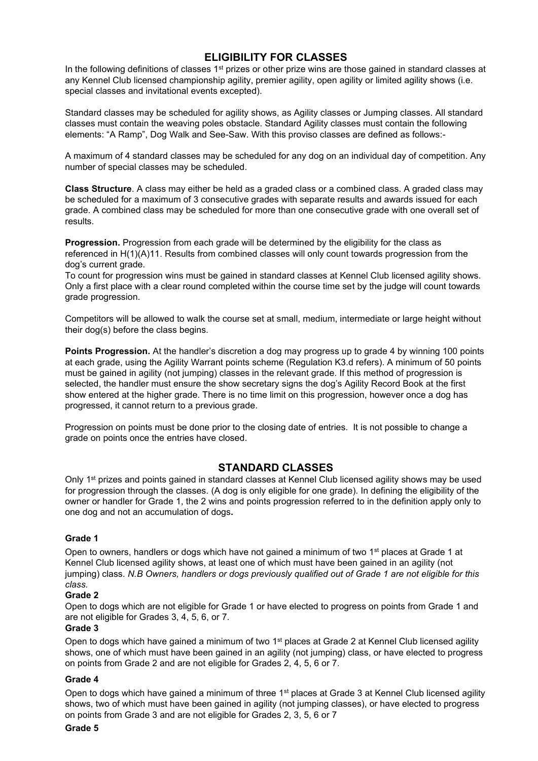### **ELIGIBILITY FOR CLASSES**

In the following definitions of classes 1<sup>st</sup> prizes or other prize wins are those gained in standard classes at any Kennel Club licensed championship agility, premier agility, open agility or limited agility shows (i.e. special classes and invitational events excepted).

Standard classes may be scheduled for agility shows, as Agility classes or Jumping classes. All standard classes must contain the weaving poles obstacle. Standard Agility classes must contain the following elements: "A Ramp", Dog Walk and See-Saw. With this proviso classes are defined as follows:-

A maximum of 4 standard classes may be scheduled for any dog on an individual day of competition. Any number of special classes may be scheduled.

**Class Structure**. A class may either be held as a graded class or a combined class. A graded class may be scheduled for a maximum of 3 consecutive grades with separate results and awards issued for each grade. A combined class may be scheduled for more than one consecutive grade with one overall set of results.

**Progression.** Progression from each grade will be determined by the eligibility for the class as referenced in H(1)(A)11. Results from combined classes will only count towards progression from the dog's current grade.

To count for progression wins must be gained in standard classes at Kennel Club licensed agility shows. Only a first place with a clear round completed within the course time set by the judge will count towards grade progression.

Competitors will be allowed to walk the course set at small, medium, intermediate or large height without their dog(s) before the class begins.

**Points Progression.** At the handler's discretion a dog may progress up to grade 4 by winning 100 points at each grade, using the Agility Warrant points scheme (Regulation K3.d refers). A minimum of 50 points must be gained in agility (not jumping) classes in the relevant grade. If this method of progression is selected, the handler must ensure the show secretary signs the dog's Agility Record Book at the first show entered at the higher grade. There is no time limit on this progression, however once a dog has progressed, it cannot return to a previous grade.

Progression on points must be done prior to the closing date of entries. It is not possible to change a grade on points once the entries have closed.

#### **STANDARD CLASSES**

Only 1st prizes and points gained in standard classes at Kennel Club licensed agility shows may be used for progression through the classes. (A dog is only eligible for one grade). In defining the eligibility of the owner or handler for Grade 1, the 2 wins and points progression referred to in the definition apply only to one dog and not an accumulation of dogs**.** 

#### **Grade 1**

Open to owners, handlers or dogs which have not gained a minimum of two 1<sup>st</sup> places at Grade 1 at Kennel Club licensed agility shows, at least one of which must have been gained in an agility (not jumping) class. *N.B Owners, handlers or dogs previously qualified out of Grade 1 are not eligible for this class.*

#### **Grade 2**

Open to dogs which are not eligible for Grade 1 or have elected to progress on points from Grade 1 and are not eligible for Grades 3, 4, 5, 6, or 7.

#### **Grade 3**

Open to dogs which have gained a minimum of two 1<sup>st</sup> places at Grade 2 at Kennel Club licensed agility shows, one of which must have been gained in an agility (not jumping) class, or have elected to progress on points from Grade 2 and are not eligible for Grades 2, 4, 5, 6 or 7.

#### **Grade 4**

Open to dogs which have gained a minimum of three 1<sup>st</sup> places at Grade 3 at Kennel Club licensed agility shows, two of which must have been gained in agility (not jumping classes), or have elected to progress on points from Grade 3 and are not eligible for Grades 2, 3, 5, 6 or 7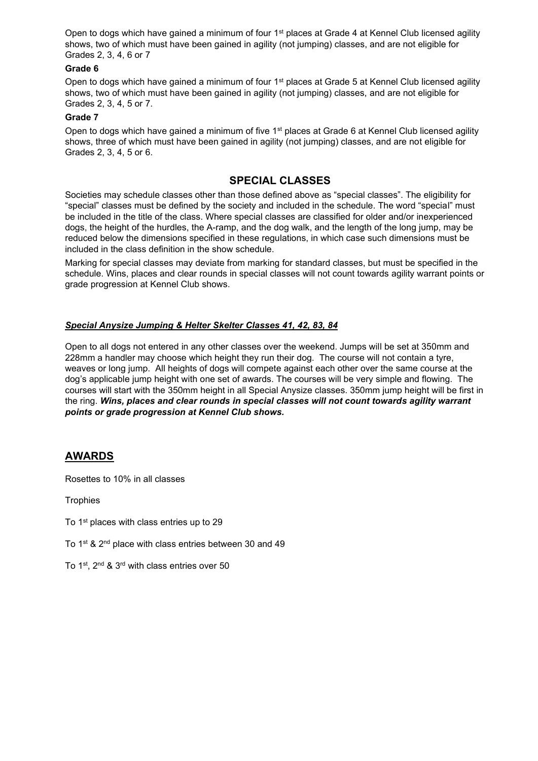Open to dogs which have gained a minimum of four 1<sup>st</sup> places at Grade 4 at Kennel Club licensed agility shows, two of which must have been gained in agility (not jumping) classes, and are not eligible for Grades 2, 3, 4, 6 or 7

#### **Grade 6**

Open to dogs which have gained a minimum of four 1<sup>st</sup> places at Grade 5 at Kennel Club licensed agility shows, two of which must have been gained in agility (not jumping) classes, and are not eligible for Grades 2, 3, 4, 5 or 7.

#### **Grade 7**

Open to dogs which have gained a minimum of five 1<sup>st</sup> places at Grade 6 at Kennel Club licensed agility shows, three of which must have been gained in agility (not jumping) classes, and are not eligible for Grades 2, 3, 4, 5 or 6.

### **SPECIAL CLASSES**

Societies may schedule classes other than those defined above as "special classes". The eligibility for "special" classes must be defined by the society and included in the schedule. The word "special" must be included in the title of the class. Where special classes are classified for older and/or inexperienced dogs, the height of the hurdles, the A-ramp, and the dog walk, and the length of the long jump, may be reduced below the dimensions specified in these regulations, in which case such dimensions must be included in the class definition in the show schedule.

Marking for special classes may deviate from marking for standard classes, but must be specified in the schedule. Wins, places and clear rounds in special classes will not count towards agility warrant points or grade progression at Kennel Club shows.

#### *Special Anysize Jumping & Helter Skelter Classes 41, 42, 83, 84*

Open to all dogs not entered in any other classes over the weekend. Jumps will be set at 350mm and 228mm a handler may choose which height they run their dog. The course will not contain a tyre, weaves or long jump. All heights of dogs will compete against each other over the same course at the dog's applicable jump height with one set of awards. The courses will be very simple and flowing. The courses will start with the 350mm height in all Special Anysize classes. 350mm jump height will be first in the ring. *Wins, places and clear rounds in special classes will not count towards agility warrant points or grade progression at Kennel Club shows.*

#### **AWARDS**

Rosettes to 10% in all classes

**Trophies** 

To 1<sup>st</sup> places with class entries up to 29

To 1<sup>st</sup> & 2<sup>nd</sup> place with class entries between 30 and 49

To 1st, 2nd & 3rd with class entries over 50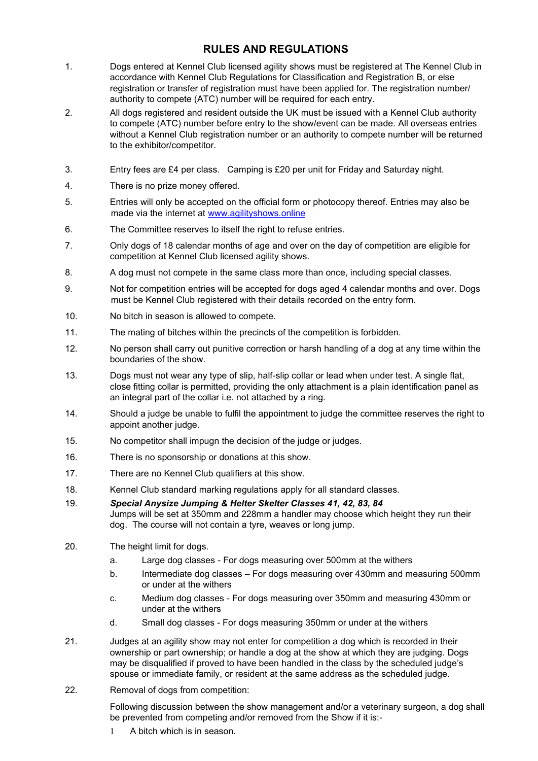### **RULES AND REGULATIONS**

- 1. Dogs entered at Kennel Club licensed agility shows must be registered at The Kennel Club in accordance with Kennel Club Regulations for Classification and Registration B, or else registration or transfer of registration must have been applied for. The registration number/ authority to compete (ATC) number will be required for each entry.
- 2. All dogs registered and resident outside the UK must be issued with a Kennel Club authority to compete (ATC) number before entry to the show/event can be made. All overseas entries without a Kennel Club registration number or an authority to compete number will be returned to the exhibitor/competitor.
- 3. Entry fees are £4 per class. Camping is £20 per unit for Friday and Saturday night.
- 4. There is no prize money offered.
- 5. Entries will only be accepted on the official form or photocopy thereof. Entries may also be made via the internet at [www.agilityshows.online](http://www.agilityshows.online/)
- 6. The Committee reserves to itself the right to refuse entries.
- 7. Only dogs of 18 calendar months of age and over on the day of competition are eligible for competition at Kennel Club licensed agility shows.
- 8. A dog must not compete in the same class more than once, including special classes.
- 9. Not for competition entries will be accepted for dogs aged 4 calendar months and over. Dogs must be Kennel Club registered with their details recorded on the entry form.
- 10. No bitch in season is allowed to compete.
- 11. The mating of bitches within the precincts of the competition is forbidden.
- 12. No person shall carry out punitive correction or harsh handling of a dog at any time within the boundaries of the show.
- 13. Dogs must not wear any type of slip, half-slip collar or lead when under test. A single flat, close fitting collar is permitted, providing the only attachment is a plain identification panel as an integral part of the collar i.e. not attached by a ring.
- 14. Should a judge be unable to fulfil the appointment to judge the committee reserves the right to appoint another judge.
- 15. No competitor shall impugn the decision of the judge or judges.
- 16. There is no sponsorship or donations at this show.
- 17. There are no Kennel Club qualifiers at this show.
- 18. Kennel Club standard marking regulations apply for all standard classes.
- 19. *Special Anysize Jumping & Helter Skelter Classes 41, 42, 83, 84* Jumps will be set at 350mm and 228mm a handler may choose which height they run their dog. The course will not contain a tyre, weaves or long jump.
- 20. The height limit for dogs.
	- a. Large dog classes For dogs measuring over 500mm at the withers
	- b. Intermediate dog classes For dogs measuring over 430mm and measuring 500mm or under at the withers
	- c. Medium dog classes For dogs measuring over 350mm and measuring 430mm or under at the withers
	- d. Small dog classes For dogs measuring 350mm or under at the withers
- 21. Judges at an agility show may not enter for competition a dog which is recorded in their ownership or part ownership; or handle a dog at the show at which they are judging. Dogs may be disqualified if proved to have been handled in the class by the scheduled judge's spouse or immediate family, or resident at the same address as the scheduled judge.
- 22. Removal of dogs from competition:

Following discussion between the show management and/or a veterinary surgeon, a dog shall be prevented from competing and/or removed from the Show if it is:-

A bitch which is in season.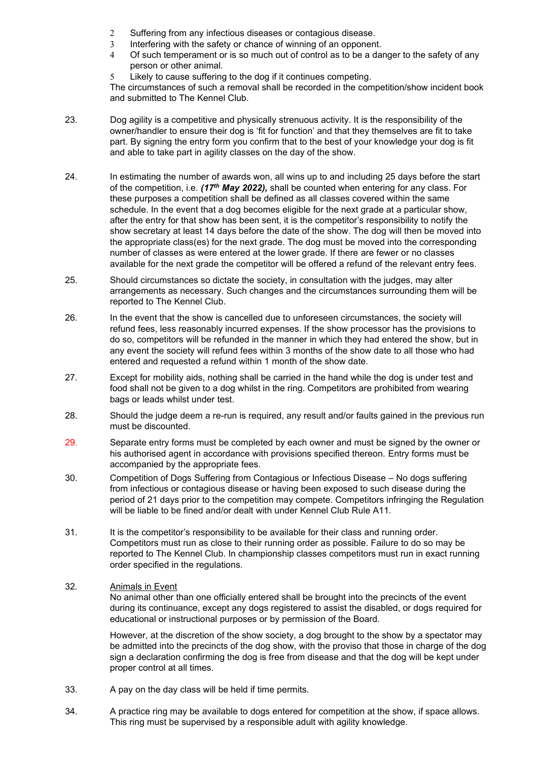- 2 Suffering from any infectious diseases or contagious disease.
- 3 Interfering with the safety or chance of winning of an opponent.
- 4 Of such temperament or is so much out of control as to be a danger to the safety of any person or other animal.
- Likely to cause suffering to the dog if it continues competing.

The circumstances of such a removal shall be recorded in the competition/show incident book and submitted to The Kennel Club.

- 23. Dog agility is a competitive and physically strenuous activity. It is the responsibility of the owner/handler to ensure their dog is 'fit for function' and that they themselves are fit to take part. By signing the entry form you confirm that to the best of your knowledge your dog is fit and able to take part in agility classes on the day of the show.
- 24. In estimating the number of awards won, all wins up to and including 25 days before the start of the competition, i.e. *(17th May 2022),* shall be counted when entering for any class. For these purposes a competition shall be defined as all classes covered within the same schedule. In the event that a dog becomes eligible for the next grade at a particular show, after the entry for that show has been sent, it is the competitor's responsibility to notify the show secretary at least 14 days before the date of the show. The dog will then be moved into the appropriate class(es) for the next grade. The dog must be moved into the corresponding number of classes as were entered at the lower grade. If there are fewer or no classes available for the next grade the competitor will be offered a refund of the relevant entry fees.
- 25. Should circumstances so dictate the society, in consultation with the judges, may alter arrangements as necessary. Such changes and the circumstances surrounding them will be reported to The Kennel Club.
- 26. In the event that the show is cancelled due to unforeseen circumstances, the society will refund fees, less reasonably incurred expenses. If the show processor has the provisions to do so, competitors will be refunded in the manner in which they had entered the show, but in any event the society will refund fees within 3 months of the show date to all those who had entered and requested a refund within 1 month of the show date.
- 27. Except for mobility aids, nothing shall be carried in the hand while the dog is under test and food shall not be given to a dog whilst in the ring. Competitors are prohibited from wearing bags or leads whilst under test.
- 28. Should the judge deem a re-run is required, any result and/or faults gained in the previous run must be discounted.
- 29. Separate entry forms must be completed by each owner and must be signed by the owner or his authorised agent in accordance with provisions specified thereon. Entry forms must be accompanied by the appropriate fees.
- 30. Competition of Dogs Suffering from Contagious or Infectious Disease No dogs suffering from infectious or contagious disease or having been exposed to such disease during the period of 21 days prior to the competition may compete. Competitors infringing the Regulation will be liable to be fined and/or dealt with under Kennel Club Rule A11.
- 31. It is the competitor's responsibility to be available for their class and running order. Competitors must run as close to their running order as possible. Failure to do so may be reported to The Kennel Club. In championship classes competitors must run in exact running order specified in the regulations.

#### 32. Animals in Event

No animal other than one officially entered shall be brought into the precincts of the event during its continuance, except any dogs registered to assist the disabled, or dogs required for educational or instructional purposes or by permission of the Board.

However, at the discretion of the show society, a dog brought to the show by a spectator may be admitted into the precincts of the dog show, with the proviso that those in charge of the dog sign a declaration confirming the dog is free from disease and that the dog will be kept under proper control at all times.

- 33. A pay on the day class will be held if time permits.
- 34. A practice ring may be available to dogs entered for competition at the show, if space allows. This ring must be supervised by a responsible adult with agility knowledge.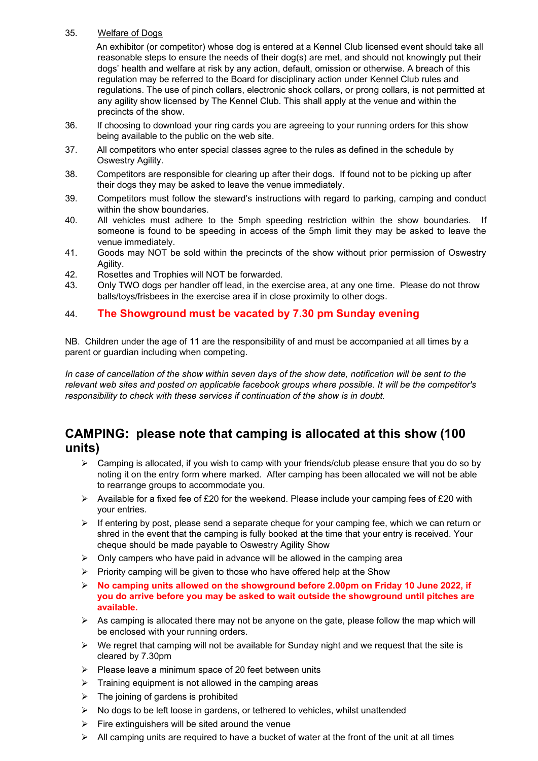#### 35. Welfare of Dogs

 An exhibitor (or competitor) whose dog is entered at a Kennel Club licensed event should take all reasonable steps to ensure the needs of their dog(s) are met, and should not knowingly put their dogs' health and welfare at risk by any action, default, omission or otherwise. A breach of this regulation may be referred to the Board for disciplinary action under Kennel Club rules and regulations. The use of pinch collars, electronic shock collars, or prong collars, is not permitted at any agility show licensed by The Kennel Club. This shall apply at the venue and within the precincts of the show.

- 36. If choosing to download your ring cards you are agreeing to your running orders for this show being available to the public on the web site.
- 37. All competitors who enter special classes agree to the rules as defined in the schedule by Oswestry Agility.
- 38. Competitors are responsible for clearing up after their dogs. If found not to be picking up after their dogs they may be asked to leave the venue immediately.
- 39. Competitors must follow the steward's instructions with regard to parking, camping and conduct within the show boundaries.
- 40. All vehicles must adhere to the 5mph speeding restriction within the show boundaries. If someone is found to be speeding in access of the 5mph limit they may be asked to leave the venue immediately.
- 41. Goods may NOT be sold within the precincts of the show without prior permission of Oswestry Agility.
- 42. Rosettes and Trophies will NOT be forwarded.
- 43. Only TWO dogs per handler off lead, in the exercise area, at any one time. Please do not throw balls/toys/frisbees in the exercise area if in close proximity to other dogs.

### 44. **The Showground must be vacated by 7.30 pm Sunday evening**

NB. Children under the age of 11 are the responsibility of and must be accompanied at all times by a parent or guardian including when competing.

*In case of cancellation of the show within seven days of the show date, notification will be sent to the relevant web sites and posted on applicable facebook groups where possible. It will be the competitor's responsibility to check with these services if continuation of the show is in doubt.*

# **CAMPING: please note that camping is allocated at this show (100 units)**

- $\triangleright$  Camping is allocated, if you wish to camp with your friends/club please ensure that you do so by noting it on the entry form where marked. After camping has been allocated we will not be able to rearrange groups to accommodate you.
- ➢ Available for a fixed fee of £20 for the weekend. Please include your camping fees of £20 with your entries.
- $\triangleright$  If entering by post, please send a separate cheque for your camping fee, which we can return or shred in the event that the camping is fully booked at the time that your entry is received. Your cheque should be made payable to Oswestry Agility Show
- $\triangleright$  Only campers who have paid in advance will be allowed in the camping area
- ➢ Priority camping will be given to those who have offered help at the Show
- ➢ **No camping units allowed on the showground before 2.00pm on Friday 10 June 2022, if you do arrive before you may be asked to wait outside the showground until pitches are available.**
- $\triangleright$  As camping is allocated there may not be anyone on the gate, please follow the map which will be enclosed with your running orders.
- $\triangleright$  We regret that camping will not be available for Sunday night and we request that the site is cleared by 7.30pm
- ➢ Please leave a minimum space of 20 feet between units
- $\triangleright$  Training equipment is not allowed in the camping areas
- $\triangleright$  The joining of gardens is prohibited
- ➢ No dogs to be left loose in gardens, or tethered to vehicles, whilst unattended
- $\triangleright$  Fire extinguishers will be sited around the venue
- $\triangleright$  All camping units are required to have a bucket of water at the front of the unit at all times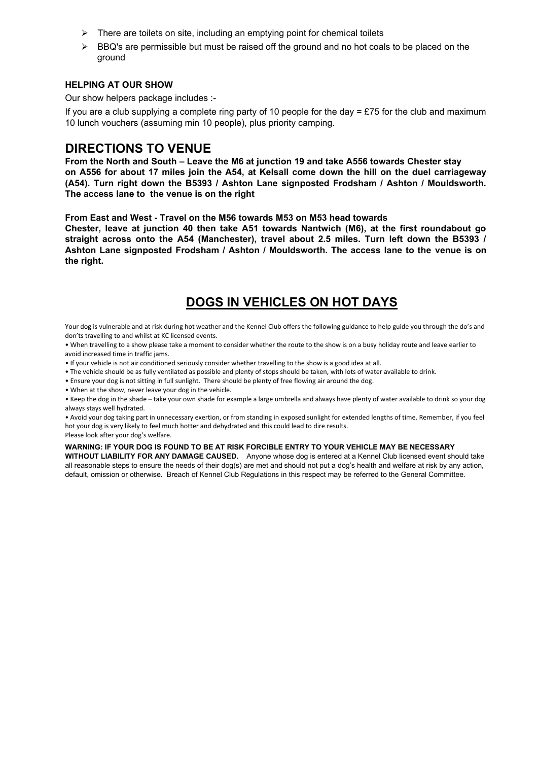- ➢ There are toilets on site, including an emptying point for chemical toilets
- $\triangleright$  BBQ's are permissible but must be raised off the ground and no hot coals to be placed on the ground

#### **HELPING AT OUR SHOW**

Our show helpers package includes :-

If you are a club supplying a complete ring party of 10 people for the day = £75 for the club and maximum 10 lunch vouchers (assuming min 10 people), plus priority camping.

## **DIRECTIONS TO VENUE**

**From the North and South – Leave the M6 at junction 19 and take A556 towards Chester stay on A556 for about 17 miles join the A54, at Kelsall come down the hill on the duel carriageway (A54). Turn right down the B5393 / Ashton Lane signposted Frodsham / Ashton / Mouldsworth. The access lane to the venue is on the right**

**From East and West - Travel on the M56 towards M53 on M53 head towards**

**Chester, leave at junction 40 then take A51 towards Nantwich (M6), at the first roundabout go straight across onto the A54 (Manchester), travel about 2.5 miles. Turn left down the B5393 / Ashton Lane signposted Frodsham / Ashton / Mouldsworth. The access lane to the venue is on the right.**

# **DOGS IN VEHICLES ON HOT DAYS**

Your dog is vulnerable and at risk during hot weather and the Kennel Club offers the following guidance to help guide you through the do's and don'ts travelling to and whilst at KC licensed events.

• When travelling to a show please take a moment to consider whether the route to the show is on a busy holiday route and leave earlier to avoid increased time in traffic jams.

• If your vehicle is not air conditioned seriously consider whether travelling to the show is a good idea at all.

• The vehicle should be as fully ventilated as possible and plenty of stops should be taken, with lots of water available to drink.

• Ensure your dog is not sitting in full sunlight. There should be plenty of free flowing air around the dog.

• When at the show, never leave your dog in the vehicle.

• Keep the dog in the shade – take your own shade for example a large umbrella and always have plenty of water available to drink so your dog always stays well hydrated.

• Avoid your dog taking part in unnecessary exertion, or from standing in exposed sunlight for extended lengths of time. Remember, if you feel hot your dog is very likely to feel much hotter and dehydrated and this could lead to dire results.

Please look after your dog's welfare.

#### **WARNING: IF YOUR DOG IS FOUND TO BE AT RISK FORCIBLE ENTRY TO YOUR VEHICLE MAY BE NECESSARY**

**WITHOUT LIABILITY FOR ANY DAMAGE CAUSED.** Anyone whose dog is entered at a Kennel Club licensed event should take all reasonable steps to ensure the needs of their dog(s) are met and should not put a dog's health and welfare at risk by any action, default, omission or otherwise. Breach of Kennel Club Regulations in this respect may be referred to the General Committee.